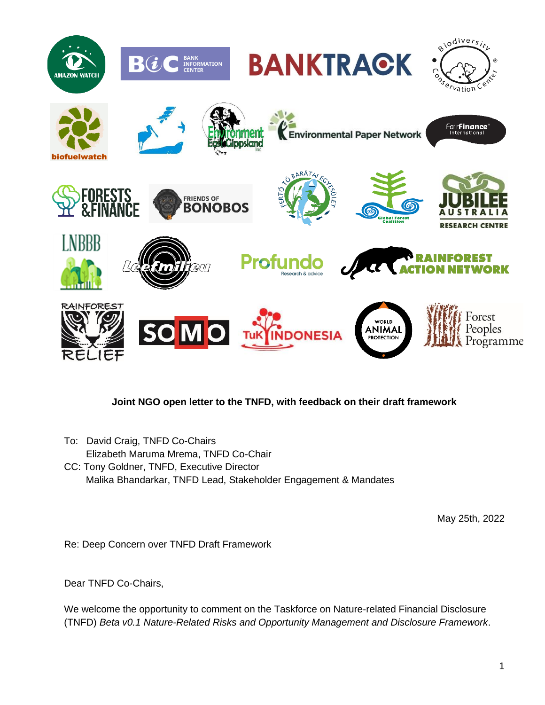

## **Joint NGO open letter to the TNFD, with feedback on their draft framework**

To: David Craig, TNFD Co-Chairs Elizabeth Maruma Mrema, TNFD Co-Chair CC: Tony Goldner, TNFD, Executive Director Malika Bhandarkar, TNFD Lead, Stakeholder Engagement & Mandates

May 25th, 2022

Re: Deep Concern over TNFD Draft Framework

Dear TNFD Co-Chairs,

We welcome the opportunity to comment on the Taskforce on Nature-related Financial Disclosure (TNFD) *Beta v0.1 Nature-Related Risks and Opportunity Management and Disclosure Framework*.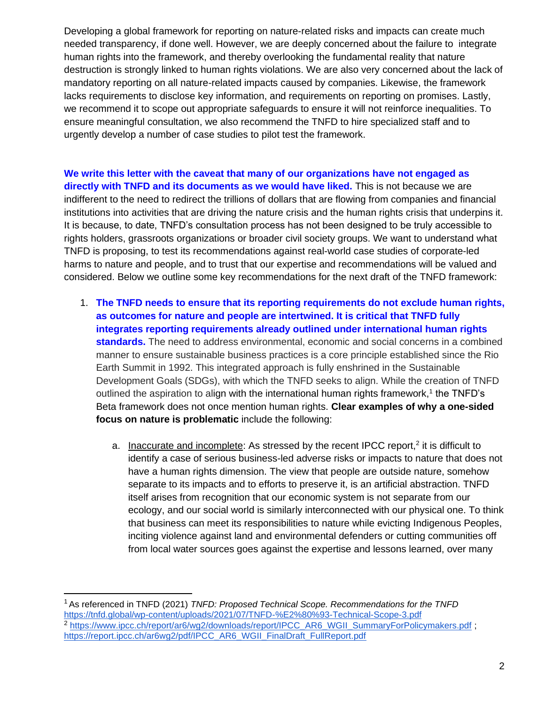Developing a global framework for reporting on nature-related risks and impacts can create much needed transparency, if done well. However, we are deeply concerned about the failure to integrate human rights into the framework, and thereby overlooking the fundamental reality that nature destruction is strongly linked to human rights violations. We are also very concerned about the lack of mandatory reporting on all nature-related impacts caused by companies. Likewise, the framework lacks requirements to disclose key information, and requirements on reporting on promises. Lastly, we recommend it to scope out appropriate safeguards to ensure it will not reinforce inequalities. To ensure meaningful consultation, we also recommend the TNFD to hire specialized staff and to urgently develop a number of case studies to pilot test the framework.

## **We write this letter with the caveat that many of our organizations have not engaged as directly with TNFD and its documents as we would have liked.** This is not because we are indifferent to the need to redirect the trillions of dollars that are flowing from companies and financial institutions into activities that are driving the nature crisis and the human rights crisis that underpins it. It is because, to date, TNFD's consultation process has not been designed to be truly accessible to rights holders, grassroots organizations or broader civil society groups. We want to understand what TNFD is proposing, to test its recommendations against real-world case studies of corporate-led harms to nature and people, and to trust that our expertise and recommendations will be valued and considered. Below we outline some key recommendations for the next draft of the TNFD framework:

- 1. **The TNFD needs to ensure that its reporting requirements do not exclude human rights, as outcomes for nature and people are intertwined. It is critical that TNFD fully integrates reporting requirements already outlined under international human rights standards.** The need to address environmental, economic and social concerns in a combined manner to ensure sustainable business practices is a core principle established since the Rio Earth Summit in 1992. This integrated approach is fully enshrined in the Sustainable Development Goals (SDGs), with which the TNFD seeks to align. While the creation of TNFD outlined the aspiration to align with the international human rights framework,<sup>1</sup> the TNFD's Beta framework does not once mention human rights. **Clear examples of why a one-sided focus on nature is problematic** include the following:
	- a. Inaccurate and incomplete: As stressed by the recent IPCC report,<sup>2</sup> it is difficult to identify a case of serious business-led adverse risks or impacts to nature that does not have a human rights dimension. The view that people are outside nature, somehow separate to its impacts and to efforts to preserve it, is an artificial abstraction. TNFD itself arises from recognition that our economic system is not separate from our ecology, and our social world is similarly interconnected with our physical one. To think that business can meet its responsibilities to nature while evicting Indigenous Peoples, inciting violence against land and environmental defenders or cutting communities off from local water sources goes against the expertise and lessons learned, over many

<sup>1</sup>As referenced in TNFD (2021) *TNFD: Proposed Technical Scope. Recommendations for the TNF[D](https://tnfd.global/wp-content/uploads/2021/07/TNFD-%E2%80%93-Technical-Scope-3.pdf)* <https://tnfd.global/wp-content/uploads/2021/07/TNFD-%E2%80%93-Technical-Scope-3.pdf> <sup>2</sup> [https://www.ipcc.ch/report/ar6/wg2/downloads/report/IPCC\\_AR6\\_WGII\\_SummaryForPolicymakers.pdf](https://www.ipcc.ch/report/ar6/wg2/downloads/report/IPCC_AR6_WGII_SummaryForPolicymakers.pdf) ; [https://report.ipcc.ch/ar6wg2/pdf/IPCC\\_AR6\\_WGII\\_FinalDraft\\_FullReport.pdf](https://report.ipcc.ch/ar6wg2/pdf/IPCC_AR6_WGII_FinalDraft_FullReport.pdf)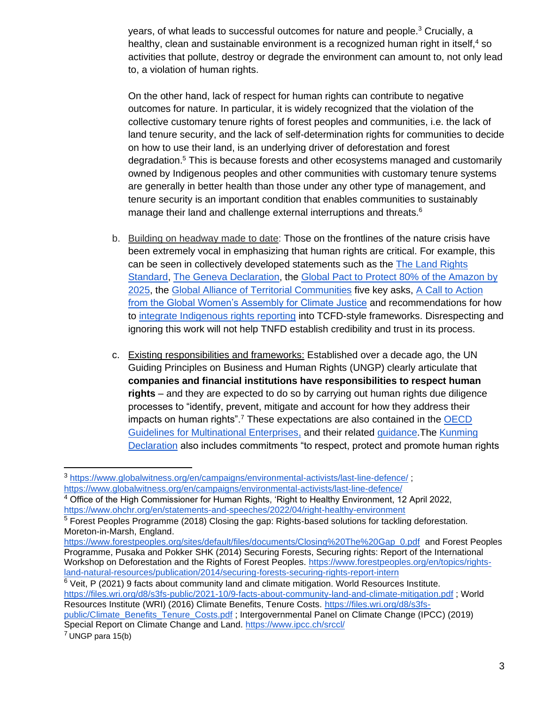years, of what leads to successful outcomes for nature and people.<sup>3</sup> Crucially, a healthy, clean and sustainable environment is a recognized human right in itself,<sup>4</sup> so activities that pollute, destroy or degrade the environment can amount to, not only lead to, a violation of human rights.

On the other hand, lack of respect for human rights can contribute to negative outcomes for nature. In particular, it is widely recognized that the violation of the collective customary tenure rights of forest peoples and communities, i.e. the lack of land tenure security, and the lack of self-determination rights for communities to decide on how to use their land, is an underlying driver of deforestation and forest degradation.<sup>5</sup> This is because forests and other ecosystems managed and customarily owned by Indigenous peoples and other communities with customary tenure systems are generally in better health than those under any other type of management, and tenure security is an important condition that enables communities to sustainably manage their land and challenge external interruptions and threats.<sup>6</sup>

- b. Building on headway made to date: Those on the frontlines of the nature crisis have been extremely vocal in emphasizing that human rights are critical. For example, this can be seen in collectively developed statements such as the [The Land Rights](https://rightsandresources.org/land-rights-standard/)  [Standard](https://rightsandresources.org/land-rights-standard/)[,](https://www.zerotoleranceinitiative.org/_files/ugd/fdb8c1_38e222fd81ad4a54a5cbc0a9e98ac2f3.pdf) [The Geneva Declaration,](https://www.zerotoleranceinitiative.org/_files/ugd/fdb8c1_38e222fd81ad4a54a5cbc0a9e98ac2f3.pdf) th[e](https://amazonia80x2025.earth/declaration/#declaration) [Global Pact to Protect 80% of the Amazon by](https://amazonia80x2025.earth/declaration/#declaration)  [2025,](https://amazonia80x2025.earth/declaration/#declaration) th[e](https://alianzaglobal.me/ncbs/about/) [Global Alliance of Territorial Communities](https://alianzaglobal.me/ncbs/about/) five key asks[,](https://www.wecaninternational.org/womens-assembly-cta) [A Call to Action](https://www.wecaninternational.org/womens-assembly-cta)  [from the Global Women's Assembly for Climate Justice](https://www.wecaninternational.org/womens-assembly-cta) and recommendations for how t[o](https://live-ucb-program-fpw.pantheonsite.io/2022/03/11/new-sec-rule-must-integrate-respect-indigenous-rights-address-climate-crisis-and-fulfill) [integrate Indigenous rights reporting](https://live-ucb-program-fpw.pantheonsite.io/2022/03/11/new-sec-rule-must-integrate-respect-indigenous-rights-address-climate-crisis-and-fulfill) into TCFD-style frameworks. Disrespecting and ignoring this work will not help TNFD establish credibility and trust in its process.
- c. Existing responsibilities and frameworks: Established over a decade ago, the UN Guiding Principles on Business and Human Rights (UNGP) clearly articulate that **companies and financial institutions have responsibilities to respect human rights** – and they are expected to do so by carrying out human rights due diligence processes to "identify, prevent, mitigate and account for how they address their impacts on human rights".<sup>7</sup> These expectations are also contained in the OECD [Guidelines for Multinational Enterprises,](https://www.oecd.org/corporate/mne/) and their related [guidance.](https://www.oecd.org/investment/due-diligence-guidance-for-responsible-business-conduct.htm)The [Kunming](https://www.cbd.int/doc/c/c2db/972a/fb32e0a277bf1ccfff742be5/cop-15-05-add1-en.pdf)  [Declaration](https://www.cbd.int/doc/c/c2db/972a/fb32e0a277bf1ccfff742be5/cop-15-05-add1-en.pdf) also includes commitments "to respect, protect and promote human rights

 $6$  Veit, P (2021) 9 facts about community land and climate mitigation. World Resources Institute. <https://files.wri.org/d8/s3fs-public/2021-10/9-facts-about-community-land-and-climate-mitigation.pdf> ; World Resources Institute (WRI) (2016) Climate Benefits, Tenure Costs. [https://files.wri.org/d8/s3fs](https://files.wri.org/d8/s3fs-public/Climate_Benefits_Tenure_Costs.pdf)public/Climate Benefits Tenure Costs.pdf ; Intergovernmental Panel on Climate Change (IPCC) (2019) Special Report on Climate Change and Land.<https://www.ipcc.ch/srccl/>

<sup>3</sup> <https://www.globalwitness.org/en/campaigns/environmental-activists/last-line-defence/> ; <https://www.globalwitness.org/en/campaigns/environmental-activists/last-line-defence/>

<sup>4</sup> Office of the High Commissioner for Human Rights, 'Right to Healthy Environment, 12 April 2022, <https://www.ohchr.org/en/statements-and-speeches/2022/04/right-healthy-environment>

<sup>5</sup> Forest Peoples Programme (2018) Closing the gap: Rights-based solutions for tackling deforestation. Moreton-in-Marsh, England.

[https://www.forestpeoples.org/sites/default/files/documents/Closing%20The%20Gap\\_0.pdf](https://www.forestpeoples.org/sites/default/files/documents/Closing%20The%20Gap_0.pdf) and Forest Peoples Programme, Pusaka and Pokker SHK (2014) Securing Forests, Securing rights: Report of the International Workshop on Deforestation and the Rights of Forest Peoples. [https://www.forestpeoples.org/en/topics/rights](https://www.forestpeoples.org/en/topics/rights-land-natural-resources/publication/2014/securing-forests-securing-rights-report-intern)[land-natural-resources/publication/2014/securing-forests-securing-rights-report-intern](https://www.forestpeoples.org/en/topics/rights-land-natural-resources/publication/2014/securing-forests-securing-rights-report-intern)

 $<sup>7</sup>$  UNGP para 15(b)</sup>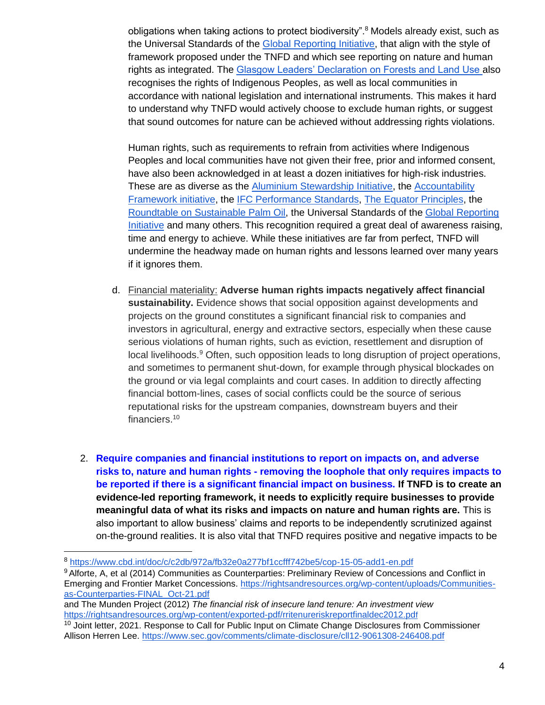obligations when taking actions to protect biodiversity".<sup>8</sup> Models already exist, such as the Universal Standards of the [Global Reporting Initiative,](https://www.globalreporting.org/standards/standards-development/universal-standards/) that align with the style of framework proposed under the TNFD and which see reporting on nature and human rights as integrated. The [Glasgow Leaders' Declaration on Forests and Land Use a](https://ukcop26.org/glasgow-leaders-declaration-on-forests-and-land-use/)lso recognises the rights of Indigenous Peoples, as well as local communities in accordance with national legislation and international instruments. This makes it hard to understand why TNFD would actively choose to exclude human rights, or suggest that sound outcomes for nature can be achieved without addressing rights violations.

Human rights, such as requirements to refrain from activities where Indigenous Peoples and local communities have not given their free, prior and informed consent, have also been acknowledged in at least a dozen initiatives for high-risk industries. These are as diverse as the [Aluminium Stewardship Initiative,](https://aluminium-stewardship.org/asi-standards/) the Accountability [Framework initiative,](https://accountability-framework.org/the-framework/contents/core-principles/) the [IFC Performance Standards,](https://www.ifc.org/wps/wcm/connect/topics_ext_content/ifc_external_corporate_site/sustainability-at-ifc/policies-standards/performance-standards) [The Equator Principles,](https://equator-principles.com/) the [Roundtable on Sustainable Palm Oil,](https://www.rspo.org/standards) the Universal Standards of the [Global Reporting](https://www.globalreporting.org/standards/standards-development/universal-standards/)  [Initiative](https://www.globalreporting.org/standards/standards-development/universal-standards/) and many others. This recognition required a great deal of awareness raising, time and energy to achieve. While these initiatives are far from perfect, TNFD will undermine the headway made on human rights and lessons learned over many years if it ignores them.

- d. Financial materiality: **Adverse human rights impacts negatively affect financial sustainability.** Evidence shows that social opposition against developments and projects on the ground constitutes a significant financial risk to companies and investors in agricultural, energy and extractive sectors, especially when these cause serious violations of human rights, such as eviction, resettlement and disruption of local livelihoods.<sup>9</sup> Often, such opposition leads to long disruption of project operations, and sometimes to permanent shut-down, for example through physical blockades on the ground or via legal complaints and court cases. In addition to directly affecting financial bottom-lines, cases of social conflicts could be the source of serious reputational risks for the upstream companies, downstream buyers and their financiers.<sup>10</sup>
- 2. **Require companies and financial institutions to report on impacts on, and adverse risks to, nature and human rights - removing the loophole that only requires impacts to be reported if there is a significant financial impact on business. If TNFD is to create an evidence-led reporting framework, it needs to explicitly require businesses to provide meaningful data of what its risks and impacts on nature and human rights are.** This is also important to allow business' claims and reports to be independently scrutinized against on-the-ground realities. It is also vital that TNFD requires positive and negative impacts to be

<sup>8</sup> <https://www.cbd.int/doc/c/c2db/972a/fb32e0a277bf1ccfff742be5/cop-15-05-add1-en.pdf>

<sup>&</sup>lt;sup>9</sup> Alforte, A, et al (2014) Communities as Counterparties: Preliminary Review of Concessions and Conflict in Emerging and Frontier Market Concessions. [https://rightsandresources.org/wp-content/uploads/Communities](https://rightsandresources.org/wp-content/uploads/Communities-as-Counterparties-FINAL_Oct-21.pdf)[as-Counterparties-FINAL\\_Oct-21.pdf](https://rightsandresources.org/wp-content/uploads/Communities-as-Counterparties-FINAL_Oct-21.pdf)

and The Munden Project (2012) *The financial risk of insecure land tenure: An investment view* [https://rightsandresources.org/wp-content/exported-pdf/rritenureriskreportfinaldec2012.pd](https://rightsandresources.org/wp-content/exported-pdf/rritenureriskreportfinaldec2012.pdf)[f](https://rightsandresources.org/wp-content/exported-pdf/rritenureriskreportfinaldec2012.pdf)

<sup>&</sup>lt;sup>10</sup> Joint letter, 2021. Response to Call for Public Input on Climate Change Disclosures from Commissioner Allison Herren Lee.<https://www.sec.gov/comments/climate-disclosure/cll12-9061308-246408.pdf>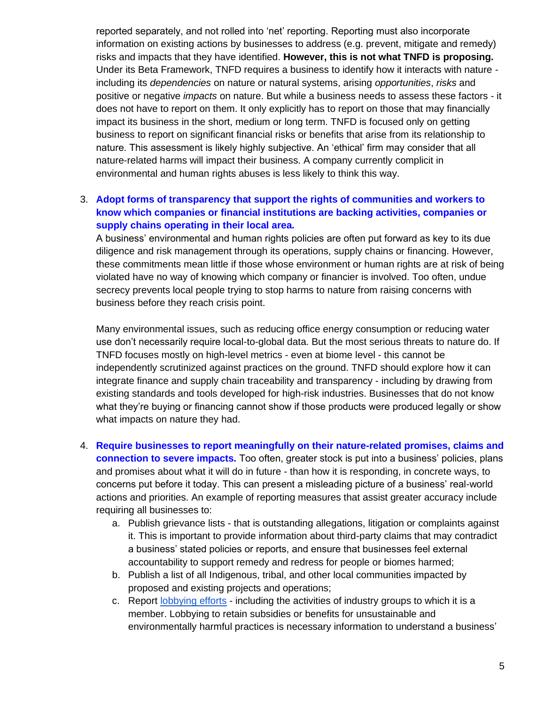reported separately, and not rolled into 'net' reporting. Reporting must also incorporate information on existing actions by businesses to address (e.g. prevent, mitigate and remedy) risks and impacts that they have identified. **However, this is not what TNFD is proposing.**  Under its Beta Framework, TNFD requires a business to identify how it interacts with nature including its *dependencies* on nature or natural systems, arising *opportunities*, *risks* and positive or negative *impacts* on nature. But while a business needs to assess these factors - it does not have to report on them. It only explicitly has to report on those that may financially impact its business in the short, medium or long term. TNFD is focused only on getting business to report on significant financial risks or benefits that arise from its relationship to nature. This assessment is likely highly subjective. An 'ethical' firm may consider that all nature-related harms will impact their business. A company currently complicit in environmental and human rights abuses is less likely to think this way.

## 3. **Adopt forms of transparency that support the rights of communities and workers to know which companies or financial institutions are backing activities, companies or supply chains operating in their local area.**

A business' environmental and human rights policies are often put forward as key to its due diligence and risk management through its operations, supply chains or financing. However, these commitments mean little if those whose environment or human rights are at risk of being violated have no way of knowing which company or financier is involved. Too often, undue secrecy prevents local people trying to stop harms to nature from raising concerns with business before they reach crisis point.

Many environmental issues, such as reducing office energy consumption or reducing water use don't necessarily require local-to-global data. But the most serious threats to nature do. If TNFD focuses mostly on high-level metrics - even at biome level - this cannot be independently scrutinized against practices on the ground. TNFD should explore how it can integrate finance and supply chain traceability and transparency - including by drawing from existing standards and tools developed for high-risk industries. Businesses that do not know what they're buying or financing cannot show if those products were produced legally or show what impacts on nature they had.

- 4. **Require businesses to report meaningfully on their nature-related promises, claims and connection to severe impacts.** Too often, greater stock is put into a business' policies, plans and promises about what it will do in future - than how it is responding, in concrete ways, to concerns put before it today. This can present a misleading picture of a business' real-world actions and priorities. An example of reporting measures that assist greater accuracy include requiring all businesses to:
	- a. Publish grievance lists that is outstanding allegations, litigation or complaints against it. This is important to provide information about third-party claims that may contradict a business' stated policies or reports, and ensure that businesses feel external accountability to support remedy and redress for people or biomes harmed;
	- b. Publish a list of all Indigenous, tribal, and other local communities impacted by proposed and existing projects and operations;
	- c. Report [lobbying efforts](https://unearthed.greenpeace.org/2022/03/04/eu-deforestation-lobbying-cop26/) including the activities of industry groups to which it is a member. Lobbying to retain subsidies or benefits for unsustainable and environmentally harmful practices is necessary information to understand a business'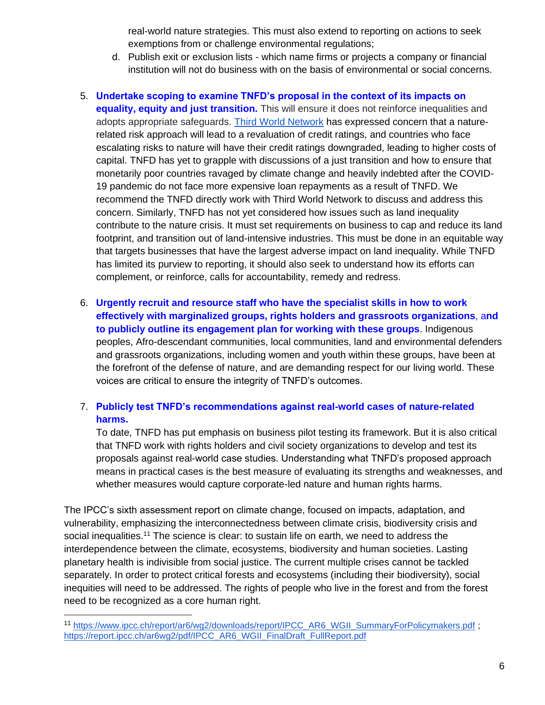real-world nature strategies. This must also extend to reporting on actions to seek exemptions from or challenge environmental regulations;

- d. Publish exit or exclusion lists which name firms or projects a company or financial institution will not do business with on the basis of environmental or social concerns.
- 5. **Undertake scoping to examine TNFD's proposal in the context of its impacts on equality, equity and just transition.** This will ensure it does not reinforce inequalities and adopts appropriate safeguards. [Third World Network](https://www.twn.my/title2/biotk/2022/btk220305.htm) has expressed concern that a naturerelated risk approach will lead to a revaluation of credit ratings, and countries who face escalating risks to nature will have their credit ratings downgraded, leading to higher costs of capital. TNFD has yet to grapple with discussions of a just transition and how to ensure that monetarily poor countries ravaged by climate change and heavily indebted after the COVID-19 pandemic do not face more expensive loan repayments as a result of TNFD. We recommend the TNFD directly work with Third World Network to discuss and address this concern. Similarly, TNFD has not yet considered how issues such as land inequality contribute to the nature crisis. It must set requirements on business to cap and reduce its land footprint, and transition out of land-intensive industries. This must be done in an equitable way that targets businesses that have the largest adverse impact on land inequality. While TNFD has limited its purview to reporting, it should also seek to understand how its efforts can complement, or reinforce, calls for accountability, remedy and redress.
- 6. **Urgently recruit and resource staff who have the specialist skills in how to work effectively with marginalized groups, rights holders and grassroots organizations**, a**nd to publicly outline its engagement plan for working with these groups**. Indigenous peoples, Afro-descendant communities, local communities, land and environmental defenders and grassroots organizations, including women and youth within these groups, have been at the forefront of the defense of nature, and are demanding respect for our living world. These voices are critical to ensure the integrity of TNFD's outcomes.

## 7. **Publicly test TNFD's recommendations against real-world cases of nature-related harms.**

To date, TNFD has put emphasis on business pilot testing its framework. But it is also critical that TNFD work with rights holders and civil society organizations to develop and test its proposals against real-world case studies. Understanding what TNFD's proposed approach means in practical cases is the best measure of evaluating its strengths and weaknesses, and whether measures would capture corporate-led nature and human rights harms.

[The IPCC's sixth assessment report on climate change, focused on impacts, adaptation, and](https://www.twn.my/title2/biotk/2022/btk220305.htm)  [vulnerability,](https://www.twn.my/title2/biotk/2022/btk220305.htm) [emphasizing the interconnectedness between climate crisis, biodiversity crisis and](https://www.twn.my/title2/biotk/2022/btk220305.htm)  [social inequalities.](https://www.twn.my/title2/biotk/2022/btk220305.htm)<sup>11</sup> The science is clear: to sustain life on earth, we need to address the interdependence between the climate, ecosystems, biodiversity and human societies. Lasting planetary health is indivisible from social justice. The current multiple crises cannot be tackled separately. In order to protect critical forests and ecosystems (including their biodiversity), social inequities will need to be addressed. The rights of people who live in the forest and from the forest need to be recognized as a core human right.

<sup>11</sup> [https://www.ipcc.ch/report/ar6/wg2/downloads/report/IPCC\\_AR6\\_WGII\\_SummaryForPolicymakers.pdf](https://www.ipcc.ch/report/ar6/wg2/downloads/report/IPCC_AR6_WGII_SummaryForPolicymakers.pdf) ; [https://report.ipcc.ch/ar6wg2/pdf/IPCC\\_AR6\\_WGII\\_FinalDraft\\_FullReport.pdf](https://report.ipcc.ch/ar6wg2/pdf/IPCC_AR6_WGII_FinalDraft_FullReport.pdf)